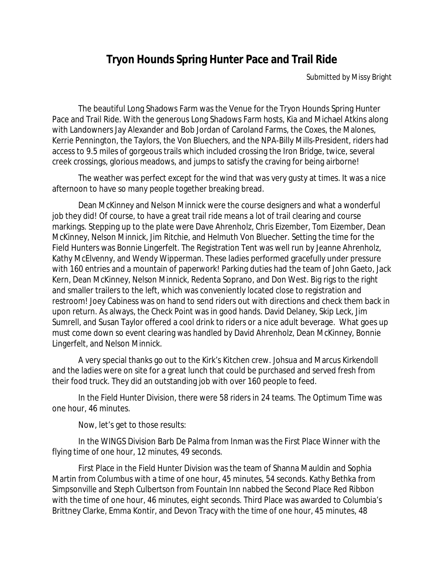## **Tryon Hounds Spring Hunter Pace and Trail Ride**

Submitted by Missy Bright

The beautiful Long Shadows Farm was the Venue for the Tryon Hounds Spring Hunter Pace and Trail Ride. With the generous Long Shadows Farm hosts, Kia and Michael Atkins along with Landowners Jay Alexander and Bob Jordan of Caroland Farms, the Coxes, the Malones, Kerrie Pennington, the Taylors, the Von Bluechers, and the NPA-Billy Mills-President, riders had access to 9.5 miles of gorgeous trails which included crossing the Iron Bridge, twice, several creek crossings, glorious meadows, and jumps to satisfy the craving for being airborne!

The weather was perfect except for the wind that was very gusty at times. It was a nice afternoon to have so many people together breaking bread.

Dean McKinney and Nelson Minnick were the course designers and what a wonderful job they did! Of course, to have a great trail ride means a lot of trail clearing and course markings. Stepping up to the plate were Dave Ahrenholz, Chris Eizember, Tom Eizember, Dean McKinney, Nelson Minnick, Jim Ritchie, and Helmuth Von Bluecher. Setting the time for the Field Hunters was Bonnie Lingerfelt. The Registration Tent was well run by Jeanne Ahrenholz, Kathy McElvenny, and Wendy Wipperman. These ladies performed gracefully under pressure with 160 entries and a mountain of paperwork! Parking duties had the team of John Gaeto, Jack Kern, Dean McKinney, Nelson Minnick, Redenta Soprano, and Don West. Big rigs to the right and smaller trailers to the left, which was conveniently located close to registration and restroom! Joey Cabiness was on hand to send riders out with directions and check them back in upon return. As always, the Check Point was in good hands. David Delaney, Skip Leck, Jim Sumrell, and Susan Taylor offered a cool drink to riders or a nice adult beverage. What goes up must come down so event clearing was handled by David Ahrenholz, Dean McKinney, Bonnie Lingerfelt, and Nelson Minnick.

A very special thanks go out to the Kirk's Kitchen crew. Johsua and Marcus Kirkendoll and the ladies were on site for a great lunch that could be purchased and served fresh from their food truck. They did an outstanding job with over 160 people to feed.

In the Field Hunter Division, there were 58 riders in 24 teams. The Optimum Time was one hour, 46 minutes.

Now, let's get to those results:

In the WINGS Division Barb De Palma from Inman was the First Place Winner with the flying time of one hour, 12 minutes, 49 seconds.

First Place in the Field Hunter Division was the team of Shanna Mauldin and Sophia Martin from Columbus with a time of one hour, 45 minutes, 54 seconds. Kathy Bethka from Simpsonville and Steph Culbertson from Fountain Inn nabbed the Second Place Red Ribbon with the time of one hour, 46 minutes, eight seconds. Third Place was awarded to Columbia's Brittney Clarke, Emma Kontir, and Devon Tracy with the time of one hour, 45 minutes, 48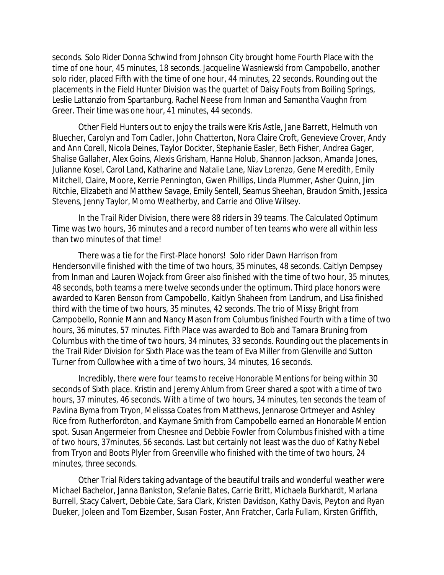seconds. Solo Rider Donna Schwind from Johnson City brought home Fourth Place with the time of one hour, 45 minutes, 18 seconds. Jacqueline Wasniewski from Campobello, another solo rider, placed Fifth with the time of one hour, 44 minutes, 22 seconds. Rounding out the placements in the Field Hunter Division was the quartet of Daisy Fouts from Boiling Springs, Leslie Lattanzio from Spartanburg, Rachel Neese from Inman and Samantha Vaughn from Greer. Their time was one hour, 41 minutes, 44 seconds.

Other Field Hunters out to enjoy the trails were Kris Astle, Jane Barrett, Helmuth von Bluecher, Carolyn and Tom Cadler, John Chatterton, Nora Claire Croft, Genevieve Crover, Andy and Ann Corell, Nicola Deines, Taylor Dockter, Stephanie Easler, Beth Fisher, Andrea Gager, Shalise Gallaher, Alex Goins, Alexis Grisham, Hanna Holub, Shannon Jackson, Amanda Jones, Julianne Kosel, Carol Land, Katharine and Natalie Lane, Niav Lorenzo, Gene Meredith, Emily Mitchell, Claire, Moore, Kerrie Pennington, Gwen Phillips, Linda Plummer, Asher Quinn, Jim Ritchie, Elizabeth and Matthew Savage, Emily Sentell, Seamus Sheehan, Braudon Smith, Jessica Stevens, Jenny Taylor, Momo Weatherby, and Carrie and Olive Wilsey.

In the Trail Rider Division, there were 88 riders in 39 teams. The Calculated Optimum Time was two hours, 36 minutes and a record number of ten teams who were all within less than two minutes of that time!

There was a tie for the First-Place honors! Solo rider Dawn Harrison from Hendersonville finished with the time of two hours, 35 minutes, 48 seconds. Caitlyn Dempsey from Inman and Lauren Wojack from Greer also finished with the time of two hour, 35 minutes, 48 seconds, both teams a mere twelve seconds under the optimum. Third place honors were awarded to Karen Benson from Campobello, Kaitlyn Shaheen from Landrum, and Lisa finished third with the time of two hours, 35 minutes, 42 seconds. The trio of Missy Bright from Campobello, Ronnie Mann and Nancy Mason from Columbus finished Fourth with a time of two hours, 36 minutes, 57 minutes. Fifth Place was awarded to Bob and Tamara Bruning from Columbus with the time of two hours, 34 minutes, 33 seconds. Rounding out the placements in the Trail Rider Division for Sixth Place was the team of Eva Miller from Glenville and Sutton Turner from Cullowhee with a time of two hours, 34 minutes, 16 seconds.

Incredibly, there were four teams to receive Honorable Mentions for being within 30 seconds of Sixth place. Kristin and Jeremy Ahlum from Greer shared a spot with a time of two hours, 37 minutes, 46 seconds. With a time of two hours, 34 minutes, ten seconds the team of Pavlina Byma from Tryon, Melisssa Coates from Matthews, Jennarose Ortmeyer and Ashley Rice from Rutherfordton, and Kaymane Smith from Campobello earned an Honorable Mention spot. Susan Angermeier from Chesnee and Debbie Fowler from Columbus finished with a time of two hours, 37minutes, 56 seconds. Last but certainly not least was the duo of Kathy Nebel from Tryon and Boots Plyler from Greenville who finished with the time of two hours, 24 minutes, three seconds.

Other Trial Riders taking advantage of the beautiful trails and wonderful weather were Michael Bachelor, Janna Bankston, Stefanie Bates, Carrie Britt, Michaela Burkhardt, Marlana Burrell, Stacy Calvert, Debbie Cate, Sara Clark, Kristen Davidson, Kathy Davis, Peyton and Ryan Dueker, Joleen and Tom Eizember, Susan Foster, Ann Fratcher, Carla Fullam, Kirsten Griffith,